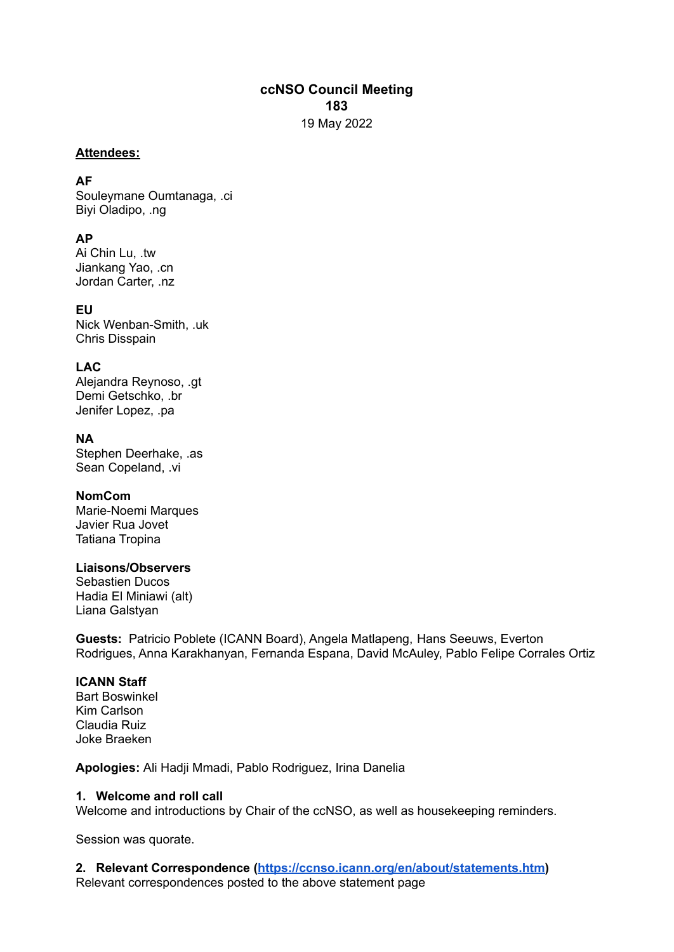# **ccNSO Council Meeting 183** 19 May 2022

#### **Attendees:**

## **AF**

Souleymane Oumtanaga, .ci Biyi Oladipo, .ng

# **AP**

Ai Chin Lu, .tw Jiankang Yao, .cn Jordan Carter, .nz

# **EU**

Nick Wenban-Smith, .uk Chris Disspain

# **LAC**

Alejandra Reynoso, .gt Demi Getschko, .br Jenifer Lopez, .pa

## **NA**

Stephen Deerhake, .as Sean Copeland, .vi

## **NomCom**

Marie-Noemi Marques Javier Rua Jovet Tatiana Tropina

## **Liaisons/Observers**

Sebastien Ducos Hadia El Miniawi (alt) Liana Galstyan

**Guests:** Patricio Poblete (ICANN Board), Angela Matlapeng, Hans Seeuws, Everton Rodrigues, Anna Karakhanyan, Fernanda Espana, David McAuley, Pablo Felipe Corrales Ortiz

## **ICANN Staff**

Bart Boswinkel Kim Carlson Claudia Ruiz Joke Braeken

**Apologies:** Ali Hadji Mmadi, Pablo Rodriguez, Irina Danelia

## **1. Welcome and roll call**

Welcome and introductions by Chair of the ccNSO, as well as housekeeping reminders.

Session was quorate.

# **2. Relevant Correspondence (<https://ccnso.icann.org/en/about/statements.htm>)**

Relevant correspondences posted to the above statement page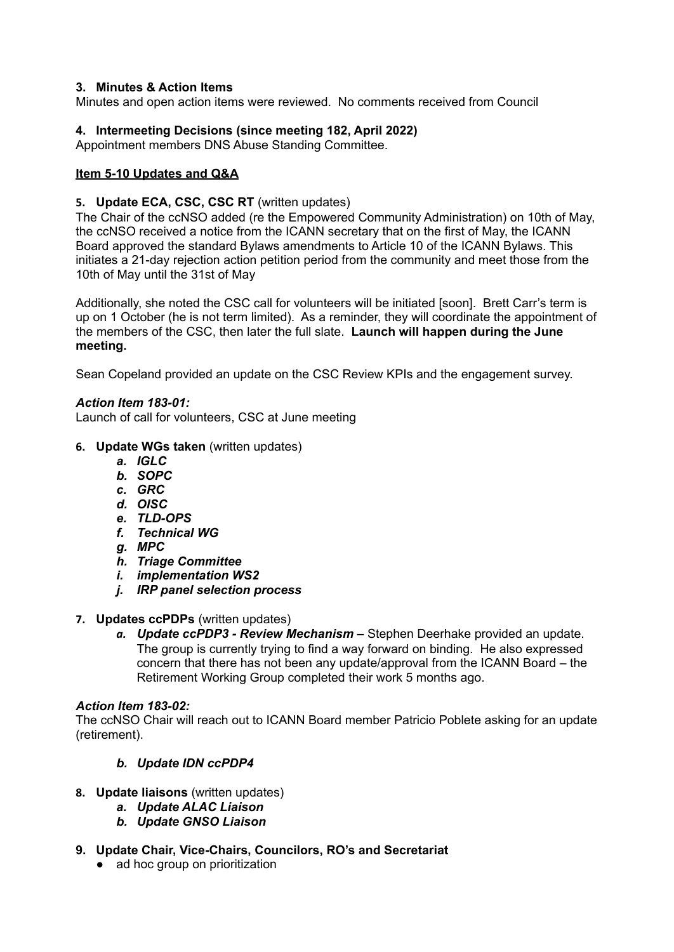## **3. Minutes & Action Items**

Minutes and open action items were reviewed. No comments received from Council

## **4. Intermeeting Decisions (since meeting 182, April 2022)**

Appointment members DNS Abuse Standing Committee.

### **Item 5-10 Updates and Q&A**

#### **5. Update ECA, CSC, CSC RT** (written updates)

The Chair of the ccNSO added (re the Empowered Community Administration) on 10th of May, the ccNSO received a notice from the ICANN secretary that on the first of May, the ICANN Board approved the standard Bylaws amendments to Article 10 of the ICANN Bylaws. This initiates a 21-day rejection action petition period from the community and meet those from the 10th of May until the 31st of May

Additionally, she noted the CSC call for volunteers will be initiated [soon]. Brett Carr's term is up on 1 October (he is not term limited). As a reminder, they will coordinate the appointment of the members of the CSC, then later the full slate. **Launch will happen during the June meeting.**

Sean Copeland provided an update on the CSC Review KPIs and the engagement survey.

#### *Action Item 183-01:*

Launch of call for volunteers, CSC at June meeting

- **6. Update WGs taken** (written updates)
	- *a. IGLC*
	- *b. SOPC*
	- *c. GRC*
	- *d. OISC*
	- *e. TLD-OPS*
	- *f. Technical WG*
	- *g. MPC*
	- *h. Triage Committee*
	- *i. implementation WS2*
	- *j. IRP panel selection process*
- **7. Updates ccPDPs** (written updates)
	- *a. Update ccPDP3 - Review Mechanism –* Stephen Deerhake provided an update. The group is currently trying to find a way forward on binding. He also expressed concern that there has not been any update/approval from the ICANN Board – the Retirement Working Group completed their work 5 months ago.

#### *Action Item 183-02:*

The ccNSO Chair will reach out to ICANN Board member Patricio Poblete asking for an update (retirement).

## *b. Update IDN ccPDP4*

- **8. Update liaisons** (written updates)
	- *a. Update ALAC Liaison*
	- *b. Update GNSO Liaison*
- **9. Update Chair, Vice-Chairs, Councilors, RO's and Secretariat**
	- ad hoc group on prioritization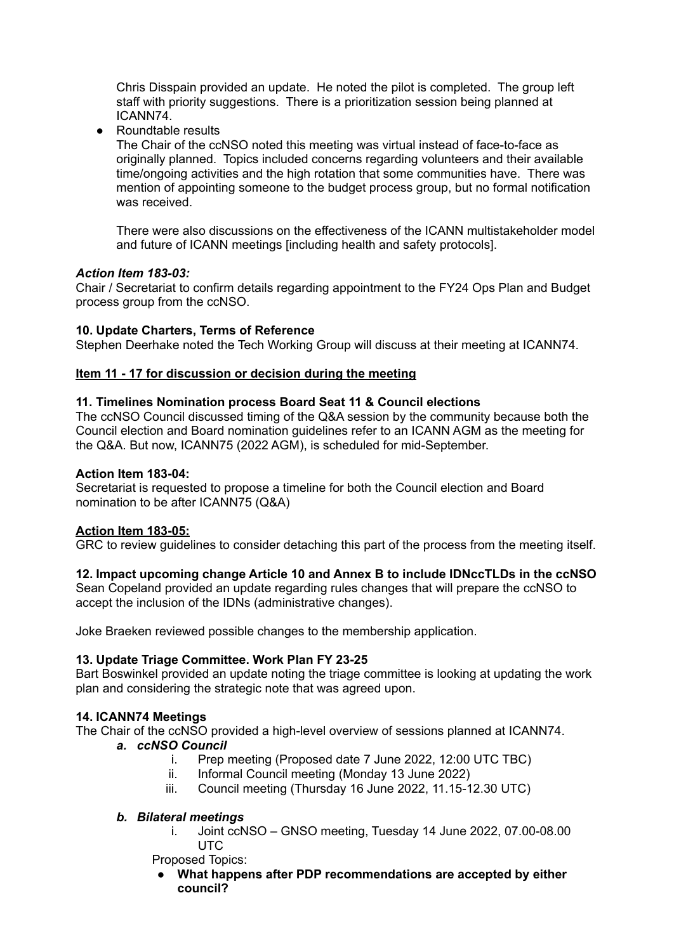Chris Disspain provided an update. He noted the pilot is completed. The group left staff with priority suggestions. There is a prioritization session being planned at ICANN74.

● Roundtable results

The Chair of the ccNSO noted this meeting was virtual instead of face-to-face as originally planned. Topics included concerns regarding volunteers and their available time/ongoing activities and the high rotation that some communities have. There was mention of appointing someone to the budget process group, but no formal notification was received.

There were also discussions on the effectiveness of the ICANN multistakeholder model and future of ICANN meetings [including health and safety protocols].

#### *Action Item 183-03:*

Chair / Secretariat to confirm details regarding appointment to the FY24 Ops Plan and Budget process group from the ccNSO.

#### **10. Update Charters, Terms of Reference**

Stephen Deerhake noted the Tech Working Group will discuss at their meeting at ICANN74.

#### **Item 11 - 17 for discussion or decision during the meeting**

#### **11. Timelines Nomination process Board Seat 11 & Council elections**

The ccNSO Council discussed timing of the Q&A session by the community because both the Council election and Board nomination guidelines refer to an ICANN AGM as the meeting for the Q&A. But now, ICANN75 (2022 AGM), is scheduled for mid-September.

#### **Action Item 183-04:**

Secretariat is requested to propose a timeline for both the Council election and Board nomination to be after ICANN75 (Q&A)

#### **Action Item 183-05:**

GRC to review guidelines to consider detaching this part of the process from the meeting itself.

#### **12. Impact upcoming change Article 10 and Annex B to include IDNccTLDs in the ccNSO**

Sean Copeland provided an update regarding rules changes that will prepare the ccNSO to accept the inclusion of the IDNs (administrative changes).

Joke Braeken reviewed possible changes to the membership application.

#### **13. Update Triage Committee. Work Plan FY 23-25**

Bart Boswinkel provided an update noting the triage committee is looking at updating the work plan and considering the strategic note that was agreed upon.

#### **14. ICANN74 Meetings**

The Chair of the ccNSO provided a high-level overview of sessions planned at ICANN74.

#### *a. ccNSO Council*

- i. Prep meeting (Proposed date 7 June 2022, 12:00 UTC TBC)
- ii. Informal Council meeting (Monday 13 June 2022)
- iii. Council meeting (Thursday 16 June 2022, 11.15-12.30 UTC)

#### *b. Bilateral meetings*

i. Joint ccNSO – GNSO meeting, Tuesday 14 June 2022, 07.00-08.00 **UTC** 

Proposed Topics:

● **What happens after PDP recommendations are accepted by either council?**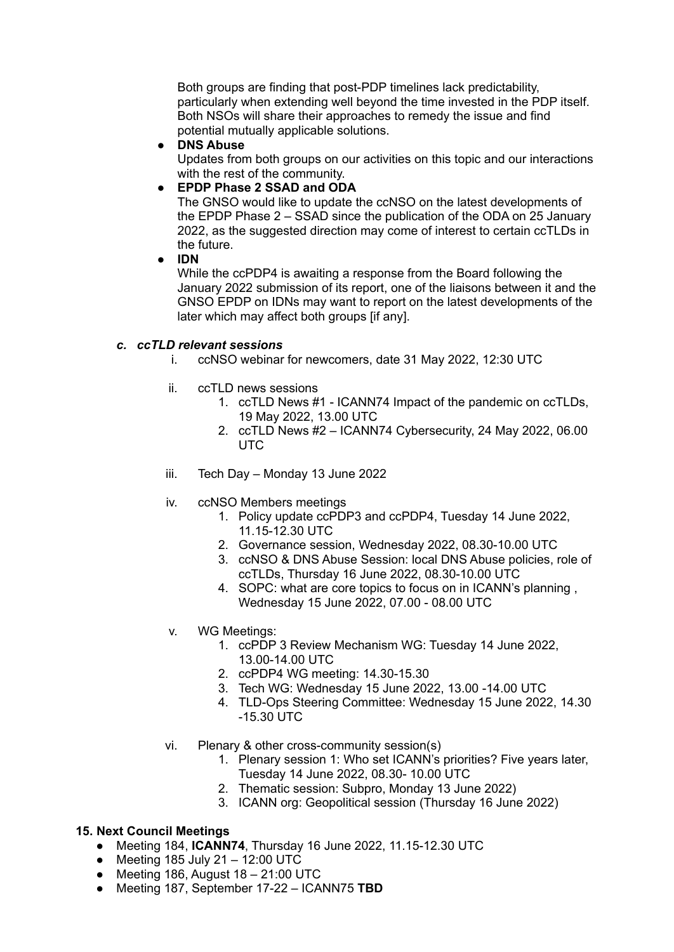Both groups are finding that post-PDP timelines lack predictability, particularly when extending well beyond the time invested in the PDP itself. Both NSOs will share their approaches to remedy the issue and find potential mutually applicable solutions.

● **DNS Abuse**

Updates from both groups on our activities on this topic and our interactions with the rest of the community.

● **EPDP Phase 2 SSAD and ODA**

The GNSO would like to update the ccNSO on the latest developments of the EPDP Phase 2 – SSAD since the publication of the ODA on 25 January 2022, as the suggested direction may come of interest to certain ccTLDs in the future.

● **IDN**

While the ccPDP4 is awaiting a response from the Board following the January 2022 submission of its report, one of the liaisons between it and the GNSO EPDP on IDNs may want to report on the latest developments of the later which may affect both groups [if any].

## *c. ccTLD relevant sessions*

- i. ccNSO webinar for newcomers, date 31 May 2022, 12:30 UTC
- ii. ccTLD news sessions
	- 1. ccTLD News #1 ICANN74 Impact of the pandemic on ccTLDs, 19 May 2022, 13.00 UTC
	- 2. ccTLD News #2 ICANN74 Cybersecurity, 24 May 2022, 06.00 UTC
- iii. Tech Day Monday 13 June 2022
- iv. ccNSO Members meetings
	- 1. Policy update ccPDP3 and ccPDP4, Tuesday 14 June 2022, 11.15-12.30 UTC
	- 2. Governance session, Wednesday 2022, 08.30-10.00 UTC
	- 3. ccNSO & DNS Abuse Session: local DNS Abuse policies, role of ccTLDs, Thursday 16 June 2022, 08.30-10.00 UTC
	- 4. SOPC: what are core topics to focus on in ICANN's planning , Wednesday 15 June 2022, 07.00 - 08.00 UTC
- v. WG Meetings:
	- 1. ccPDP 3 Review Mechanism WG: Tuesday 14 June 2022, 13.00-14.00 UTC
	- 2. ccPDP4 WG meeting: 14.30-15.30
	- 3. Tech WG: Wednesday 15 June 2022, 13.00 -14.00 UTC
	- 4. TLD-Ops Steering Committee: Wednesday 15 June 2022, 14.30 -15.30 UTC
- vi. Plenary & other cross-community session(s)
	- 1. Plenary session 1: Who set ICANN's priorities? Five years later, Tuesday 14 June 2022, 08.30- 10.00 UTC
	- 2. Thematic session: Subpro, Monday 13 June 2022)
	- 3. ICANN org: Geopolitical session (Thursday 16 June 2022)

## **15. Next Council Meetings**

- Meeting 184, **ICANN74**, Thursday 16 June 2022, 11.15-12.30 UTC
- $\bullet$  Meeting 185 July 21 12:00 UTC
- $\bullet$  Meeting 186, August 18 21:00 UTC
- Meeting 187, September 17-22 ICANN75 **TBD**